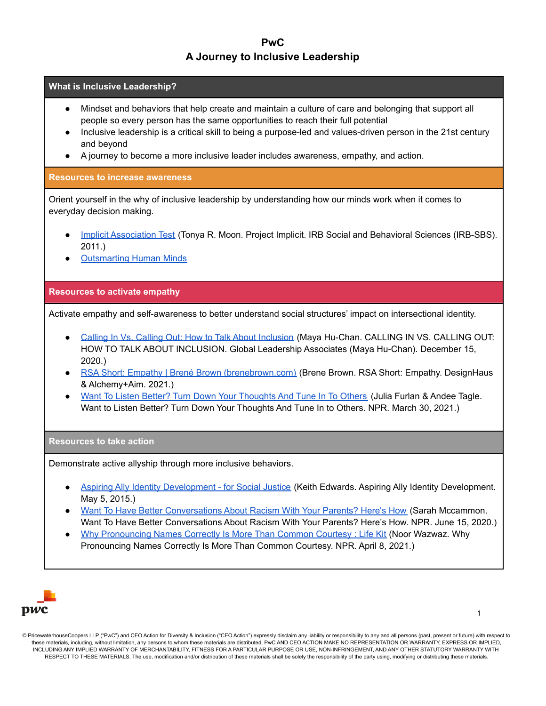# **PwC A Journey to Inclusive Leadership**

### **What is Inclusive Leadership?**

- Mindset and behaviors that help create and maintain a culture of care and belonging that support all people so every person has the same opportunities to reach their full potential
- Inclusive leadership is a critical skill to being a purpose-led and values-driven person in the 21st century and beyond
- A journey to become a more inclusive leader includes awareness, empathy, and action.

### **Resources to increase awareness**

Orient yourself in the why of inclusive leadership by understanding how our minds work when it comes to everyday decision making.

- Implicit [Association](https://implicit.harvard.edu/implicit/takeatest.html) Test (Tonya R. Moon. Project Implicit. IRB Social and Behavioral Sciences (IRB-SBS). 2011.)
- **[Outsmarting](https://www.pwc.com/us/en/about-us/outsmarting-human-minds.html) Human Minds**

## **Resources to activate empathy**

Activate empathy and self-awareness to better understand social structures' impact on intersectional identity.

- Calling In Vs. Calling Out: How to Talk About [Inclusion](https://mayahuchan.com/calling-in-vs-calling-out-how-to-talk-about-inclusion/) (Maya Hu-Chan. CALLING IN VS. CALLING OUT: HOW TO TALK ABOUT INCLUSION. Global Leadership Associates (Maya Hu-Chan). December 15, 2020.)
- RSA Short: Empathy | Brené Brown [\(brenebrown.com\)](https://brenebrown.com/videos/rsa-short-empathy/) (Brene Brown. RSA Short: Empathy. DesignHaus & Alchemy+Aim. 2021.)
- Want To Listen Better? Turn Down Your [Thoughts](https://www.npr.org/2021/03/08/974786825/want-to-listen-better-turn-down-your-thoughts-and-tune-in-to-others) And Tune In To Others (Julia Furlan & Andee Tagle. Want to Listen Better? Turn Down Your Thoughts And Tune In to Others. NPR. March 30, 2021.)

#### **Resources to take action**

Demonstrate active allyship through more inclusive behaviors.

- Aspiring Ally Identity [Development](https://www.keithedwards.com/2015/05/05/aspiring-ally-identity-development/) for Social Justice (Keith Edwards. Aspiring Ally Identity Development. May 5, 2015.)
- Want To Have Better [Conversations](https://www.npr.org/2020/06/09/873054935/want-to-have-better-conversations-about-racism-with-your-parents-heres-how) About Racism With Your Parents? Here's How (Sarah Mccammon. Want To Have Better Conversations About Racism With Your Parents? Here's How. NPR. June 15, 2020.)
- **Why [Pronouncing](https://www.npr.org/2021/03/12/976385244/why-pronouncing-names-correctly-is-more-than-common-courtesy) Names Correctly Is More Than Common Courtesy : Life Kit (Noor Wazwaz. Why** Pronouncing Names Correctly Is More Than Common Courtesy. NPR. April 8, 2021.)



<sup>©</sup> PricewaterhouseCoopers LLP ("PwC") and CEO Action for Diversity & Inclusion ("CEO Action") expressly disclaim any liability or responsibility to any and all persons (past, present or future) with respect to these materials, including, without limitation, any persons to whom these materials are distributed. PwC AND CEO ACTION MAKE NO REPRESENTATION OR WARRANTY, EXPRESS OR IMPLIED, INCLUDING ANY IMPLIED WARRANTY OF MERCHANTABILITY, FITNESS FOR A PARTICULAR PURPOSE OR USE, NON-INFRINGEMENT, AND ANY OTHER STATUTORY WARRANTY WITH RESPECT TO THESE MATERIALS. The use, modification and/or distribution of these materials shall be solely the responsibility of the party using, modifying or distributing these materials